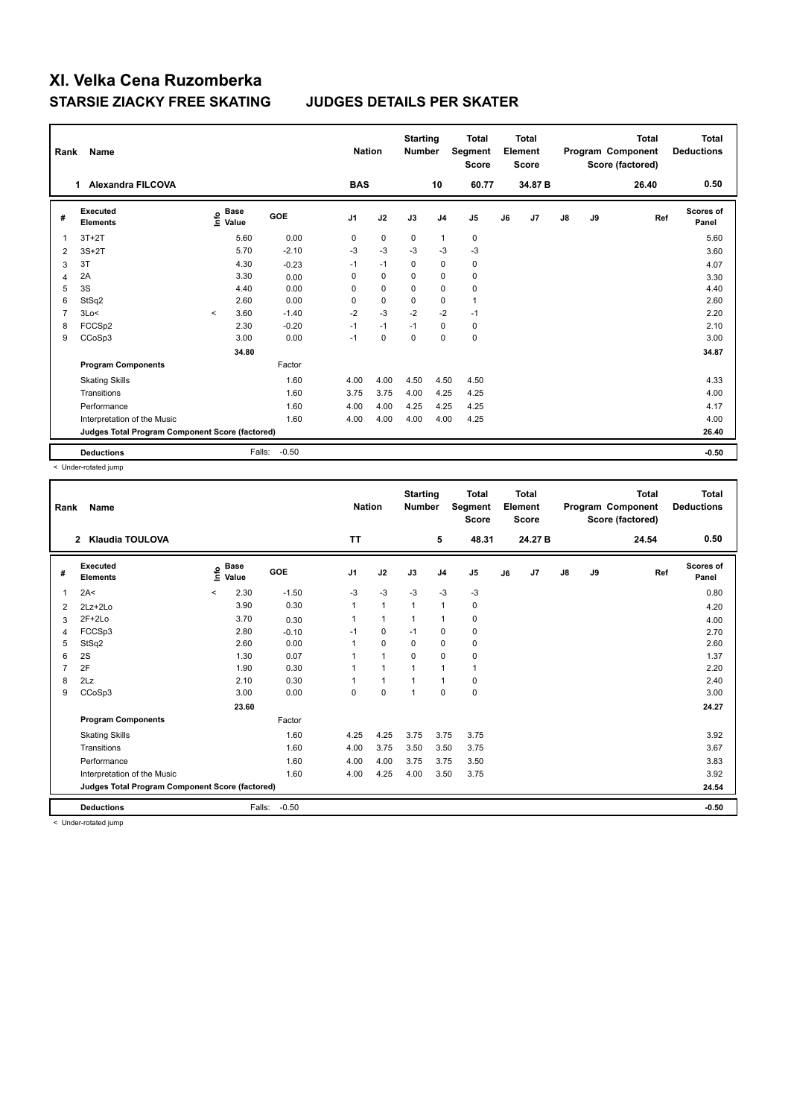| Rank           | Name                                            |          |                      |         |                | <b>Nation</b> | <b>Starting</b><br><b>Number</b> |                | <b>Total</b><br>Segment<br><b>Score</b> |    | <b>Total</b><br>Element<br><b>Score</b> |               |    | <b>Total</b><br>Program Component<br>Score (factored) | <b>Total</b><br><b>Deductions</b> |
|----------------|-------------------------------------------------|----------|----------------------|---------|----------------|---------------|----------------------------------|----------------|-----------------------------------------|----|-----------------------------------------|---------------|----|-------------------------------------------------------|-----------------------------------|
|                | <b>Alexandra FILCOVA</b><br>$\mathbf 1$         |          |                      |         | <b>BAS</b>     |               |                                  | 10             | 60.77                                   |    | 34.87 B                                 |               |    | 26.40                                                 | 0.50                              |
| #              | Executed<br><b>Elements</b>                     | Info     | <b>Base</b><br>Value | GOE     | J <sub>1</sub> | J2            | J3                               | J <sub>4</sub> | J <sub>5</sub>                          | J6 | J7                                      | $\mathsf{J}8$ | J9 | Ref                                                   | <b>Scores of</b><br>Panel         |
| 1              | $3T+2T$                                         |          | 5.60                 | 0.00    | 0              | $\mathbf 0$   | $\Omega$                         | $\mathbf{1}$   | $\mathbf 0$                             |    |                                         |               |    |                                                       | 5.60                              |
| 2              | $3S+2T$                                         |          | 5.70                 | $-2.10$ | $-3$           | $-3$          | $-3$                             | $-3$           | $-3$                                    |    |                                         |               |    |                                                       | 3.60                              |
| 3              | 3T                                              |          | 4.30                 | $-0.23$ | $-1$           | $-1$          | 0                                | $\mathbf 0$    | 0                                       |    |                                         |               |    |                                                       | 4.07                              |
| 4              | 2A                                              |          | 3.30                 | 0.00    | 0              | $\mathbf 0$   | $\Omega$                         | 0              | 0                                       |    |                                         |               |    |                                                       | 3.30                              |
| 5              | 3S                                              |          | 4.40                 | 0.00    | 0              | $\mathbf 0$   | $\Omega$                         | $\mathbf 0$    | 0                                       |    |                                         |               |    |                                                       | 4.40                              |
| 6              | StSq2                                           |          | 2.60                 | 0.00    | 0              | $\mathbf 0$   | 0                                | 0              | $\mathbf{1}$                            |    |                                         |               |    |                                                       | 2.60                              |
| $\overline{7}$ | 3Lo<                                            | $\hat{}$ | 3.60                 | $-1.40$ | $-2$           | $-3$          | $-2$                             | $-2$           | $-1$                                    |    |                                         |               |    |                                                       | 2.20                              |
| 8              | FCCS <sub>p2</sub>                              |          | 2.30                 | $-0.20$ | $-1$           | $-1$          | $-1$                             | 0              | 0                                       |    |                                         |               |    |                                                       | 2.10                              |
| 9              | CCoSp3                                          |          | 3.00                 | 0.00    | $-1$           | $\mathbf 0$   | $\mathbf 0$                      | $\mathbf 0$    | $\mathbf 0$                             |    |                                         |               |    |                                                       | 3.00                              |
|                |                                                 |          | 34.80                |         |                |               |                                  |                |                                         |    |                                         |               |    |                                                       | 34.87                             |
|                | <b>Program Components</b>                       |          |                      | Factor  |                |               |                                  |                |                                         |    |                                         |               |    |                                                       |                                   |
|                | <b>Skating Skills</b>                           |          |                      | 1.60    | 4.00           | 4.00          | 4.50                             | 4.50           | 4.50                                    |    |                                         |               |    |                                                       | 4.33                              |
|                | Transitions                                     |          |                      | 1.60    | 3.75           | 3.75          | 4.00                             | 4.25           | 4.25                                    |    |                                         |               |    |                                                       | 4.00                              |
|                | Performance                                     |          |                      | 1.60    | 4.00           | 4.00          | 4.25                             | 4.25           | 4.25                                    |    |                                         |               |    |                                                       | 4.17                              |
|                | Interpretation of the Music                     |          |                      | 1.60    | 4.00           | 4.00          | 4.00                             | 4.00           | 4.25                                    |    |                                         |               |    |                                                       | 4.00                              |
|                | Judges Total Program Component Score (factored) |          |                      |         |                |               |                                  |                |                                         |    |                                         |               |    |                                                       | 26.40                             |
|                | <b>Deductions</b>                               |          | Falls:               | $-0.50$ |                |               |                                  |                |                                         |    |                                         |               |    |                                                       | $-0.50$                           |

< Under-rotated jump

| Rank | <b>Name</b>                                     |         |                                    |         |                | <b>Nation</b>  | <b>Starting</b><br><b>Number</b> |                | <b>Total</b><br>Segment<br><b>Score</b> |    | <b>Total</b><br>Element<br><b>Score</b> |               |    | <b>Total</b><br>Program Component<br>Score (factored) | <b>Total</b><br><b>Deductions</b> |
|------|-------------------------------------------------|---------|------------------------------------|---------|----------------|----------------|----------------------------------|----------------|-----------------------------------------|----|-----------------------------------------|---------------|----|-------------------------------------------------------|-----------------------------------|
|      | <b>Klaudia TOULOVA</b><br>$\overline{2}$        |         |                                    |         | <b>TT</b>      |                |                                  | 5              | 48.31                                   |    | 24.27 B                                 |               |    | 24.54                                                 | 0.50                              |
| #    | Executed<br><b>Elements</b>                     |         | <b>Base</b><br>$\frac{6}{5}$ Value | GOE     | J <sub>1</sub> | J2             | J3                               | J <sub>4</sub> | J <sub>5</sub>                          | J6 | J7                                      | $\mathsf{J}8$ | J9 | Ref                                                   | Scores of<br>Panel                |
| 1    | 2A<                                             | $\prec$ | 2.30                               | $-1.50$ | $-3$           | $-3$           | $-3$                             | $-3$           | $-3$                                    |    |                                         |               |    |                                                       | 0.80                              |
| 2    | $2Lz + 2Lo$                                     |         | 3.90                               | 0.30    |                | $\overline{1}$ | 1                                | $\overline{1}$ | 0                                       |    |                                         |               |    |                                                       | 4.20                              |
| 3    | $2F+2Lo$                                        |         | 3.70                               | 0.30    |                | $\overline{1}$ | 1                                | $\overline{1}$ | 0                                       |    |                                         |               |    |                                                       | 4.00                              |
| 4    | FCCSp3                                          |         | 2.80                               | $-0.10$ | $-1$           | $\mathbf 0$    | $-1$                             | 0              | $\pmb{0}$                               |    |                                         |               |    |                                                       | 2.70                              |
| 5    | StSq2                                           |         | 2.60                               | 0.00    | 1              | $\mathbf 0$    | 0                                | 0              | 0                                       |    |                                         |               |    |                                                       | 2.60                              |
| 6    | 2S                                              |         | 1.30                               | 0.07    |                | $\overline{1}$ | $\Omega$                         | $\mathbf 0$    | 0                                       |    |                                         |               |    |                                                       | 1.37                              |
| 7    | 2F                                              |         | 1.90                               | 0.30    |                | $\overline{1}$ | 1                                | 1              | $\mathbf{1}$                            |    |                                         |               |    |                                                       | 2.20                              |
| 8    | 2Lz                                             |         | 2.10                               | 0.30    |                | $\overline{1}$ | 1                                | $\overline{1}$ | $\pmb{0}$                               |    |                                         |               |    |                                                       | 2.40                              |
| 9    | CCoSp3                                          |         | 3.00                               | 0.00    | 0              | $\mathbf 0$    | $\overline{1}$                   | $\mathbf 0$    | $\pmb{0}$                               |    |                                         |               |    |                                                       | 3.00                              |
|      |                                                 |         | 23.60                              |         |                |                |                                  |                |                                         |    |                                         |               |    |                                                       | 24.27                             |
|      | <b>Program Components</b>                       |         |                                    | Factor  |                |                |                                  |                |                                         |    |                                         |               |    |                                                       |                                   |
|      | <b>Skating Skills</b>                           |         |                                    | 1.60    | 4.25           | 4.25           | 3.75                             | 3.75           | 3.75                                    |    |                                         |               |    |                                                       | 3.92                              |
|      | Transitions                                     |         |                                    | 1.60    | 4.00           | 3.75           | 3.50                             | 3.50           | 3.75                                    |    |                                         |               |    |                                                       | 3.67                              |
|      | Performance                                     |         |                                    | 1.60    | 4.00           | 4.00           | 3.75                             | 3.75           | 3.50                                    |    |                                         |               |    |                                                       | 3.83                              |
|      | Interpretation of the Music                     |         |                                    | 1.60    | 4.00           | 4.25           | 4.00                             | 3.50           | 3.75                                    |    |                                         |               |    |                                                       | 3.92                              |
|      | Judges Total Program Component Score (factored) |         |                                    |         |                |                |                                  |                |                                         |    |                                         |               |    |                                                       | 24.54                             |
|      | <b>Deductions</b>                               |         | Falls:                             | $-0.50$ |                |                |                                  |                |                                         |    |                                         |               |    |                                                       | $-0.50$                           |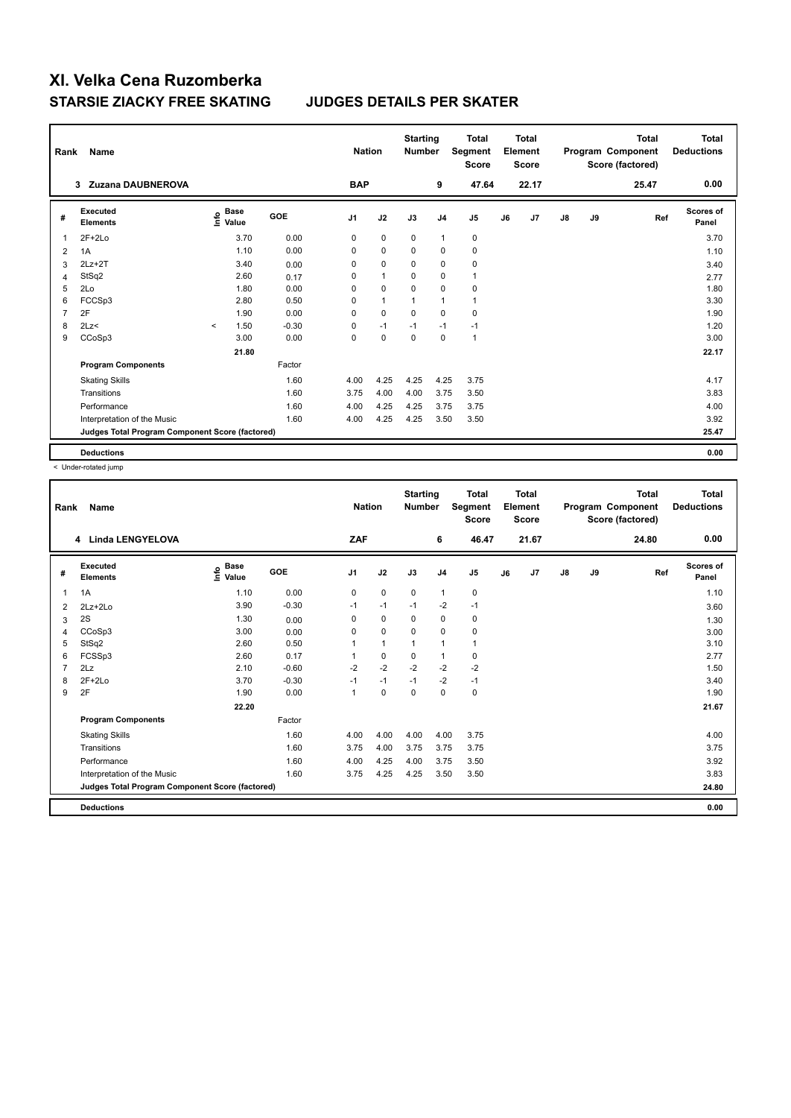| Rank           | Name                                            |                    |       |         | <b>Nation</b>  |              | <b>Starting</b><br><b>Number</b> |                | Total<br>Segment<br><b>Score</b> |    | <b>Total</b><br>Element<br><b>Score</b> |               |    | <b>Total</b><br>Program Component<br>Score (factored) | <b>Total</b><br><b>Deductions</b> |
|----------------|-------------------------------------------------|--------------------|-------|---------|----------------|--------------|----------------------------------|----------------|----------------------------------|----|-----------------------------------------|---------------|----|-------------------------------------------------------|-----------------------------------|
|                | Zuzana DAUBNEROVA<br>3                          |                    |       |         | <b>BAP</b>     |              |                                  | 9              | 47.64                            |    | 22.17                                   |               |    | 25.47                                                 | 0.00                              |
| #              | Executed<br><b>Elements</b>                     | $\frac{6}{5}$ Base |       | GOE     | J <sub>1</sub> | J2           | J3                               | J <sub>4</sub> | J <sub>5</sub>                   | J6 | J7                                      | $\mathsf{J}8$ | J9 | Ref                                                   | <b>Scores of</b><br>Panel         |
| 1              | $2F+2Lo$                                        |                    | 3.70  | 0.00    | 0              | $\mathbf 0$  | $\mathbf 0$                      | $\mathbf{1}$   | 0                                |    |                                         |               |    |                                                       | 3.70                              |
| 2              | 1A                                              |                    | 1.10  | 0.00    | 0              | $\mathbf 0$  | $\Omega$                         | $\mathbf 0$    | 0                                |    |                                         |               |    |                                                       | 1.10                              |
| 3              | $2Lz+2T$                                        |                    | 3.40  | 0.00    | 0              | 0            | 0                                | $\mathbf 0$    | 0                                |    |                                         |               |    |                                                       | 3.40                              |
| 4              | StSq2                                           |                    | 2.60  | 0.17    | 0              | $\mathbf{1}$ | 0                                | $\mathbf 0$    | $\mathbf{1}$                     |    |                                         |               |    |                                                       | 2.77                              |
| 5              | 2Lo                                             |                    | 1.80  | 0.00    | 0              | $\mathbf 0$  | $\mathbf 0$                      | $\mathbf 0$    | $\pmb{0}$                        |    |                                         |               |    |                                                       | 1.80                              |
| 6              | FCCSp3                                          |                    | 2.80  | 0.50    | 0              | $\mathbf{1}$ | 1                                | $\mathbf{1}$   | $\mathbf{1}$                     |    |                                         |               |    |                                                       | 3.30                              |
| $\overline{7}$ | 2F                                              |                    | 1.90  | 0.00    | 0              | $\mathbf 0$  | $\mathbf 0$                      | $\mathbf 0$    | 0                                |    |                                         |               |    |                                                       | 1.90                              |
| 8              | 2Lz<                                            | $\prec$            | 1.50  | $-0.30$ | 0              | $-1$         | $-1$                             | $-1$           | $-1$                             |    |                                         |               |    |                                                       | 1.20                              |
| 9              | CCoSp3                                          |                    | 3.00  | 0.00    | $\mathbf 0$    | $\pmb{0}$    | $\mathbf 0$                      | $\mathbf 0$    | $\mathbf{1}$                     |    |                                         |               |    |                                                       | 3.00                              |
|                |                                                 |                    | 21.80 |         |                |              |                                  |                |                                  |    |                                         |               |    |                                                       | 22.17                             |
|                | <b>Program Components</b>                       |                    |       | Factor  |                |              |                                  |                |                                  |    |                                         |               |    |                                                       |                                   |
|                | <b>Skating Skills</b>                           |                    |       | 1.60    | 4.00           | 4.25         | 4.25                             | 4.25           | 3.75                             |    |                                         |               |    |                                                       | 4.17                              |
|                | Transitions                                     |                    |       | 1.60    | 3.75           | 4.00         | 4.00                             | 3.75           | 3.50                             |    |                                         |               |    |                                                       | 3.83                              |
|                | Performance                                     |                    |       | 1.60    | 4.00           | 4.25         | 4.25                             | 3.75           | 3.75                             |    |                                         |               |    |                                                       | 4.00                              |
|                | Interpretation of the Music                     |                    |       | 1.60    | 4.00           | 4.25         | 4.25                             | 3.50           | 3.50                             |    |                                         |               |    |                                                       | 3.92                              |
|                | Judges Total Program Component Score (factored) |                    |       |         |                |              |                                  |                |                                  |    |                                         |               |    |                                                       | 25.47                             |
|                | <b>Deductions</b>                               |                    |       |         |                |              |                                  |                |                                  |    |                                         |               |    |                                                       | 0.00                              |

| Rank | Name                                            |                                  |            | <b>Nation</b>  |              | <b>Starting</b><br><b>Number</b> |                | <b>Total</b><br>Segment<br><b>Score</b> |    | <b>Total</b><br>Element<br><b>Score</b> |               |    | <b>Total</b><br>Program Component<br>Score (factored) | <b>Total</b><br><b>Deductions</b> |
|------|-------------------------------------------------|----------------------------------|------------|----------------|--------------|----------------------------------|----------------|-----------------------------------------|----|-----------------------------------------|---------------|----|-------------------------------------------------------|-----------------------------------|
|      | <b>Linda LENGYELOVA</b><br>4                    |                                  |            | ZAF            |              |                                  | 6              | 46.47                                   |    | 21.67                                   |               |    | 24.80                                                 | 0.00                              |
| #    | Executed<br><b>Elements</b>                     | <b>Base</b><br>e Base<br>⊆ Value | <b>GOE</b> | J <sub>1</sub> | J2           | J3                               | J <sub>4</sub> | J5                                      | J6 | J7                                      | $\mathsf{J}8$ | J9 | Ref                                                   | <b>Scores of</b><br>Panel         |
| 1    | 1A                                              | 1.10                             | 0.00       | 0              | $\mathbf 0$  | $\mathbf 0$                      | $\mathbf{1}$   | $\pmb{0}$                               |    |                                         |               |    |                                                       | 1.10                              |
| 2    | $2Lz + 2Lo$                                     | 3.90                             | $-0.30$    | $-1$           | $-1$         | $-1$                             | $-2$           | $-1$                                    |    |                                         |               |    |                                                       | 3.60                              |
| 3    | 2S                                              | 1.30                             | 0.00       | 0              | 0            | $\mathbf 0$                      | 0              | 0                                       |    |                                         |               |    |                                                       | 1.30                              |
| 4    | CCoSp3                                          | 3.00                             | 0.00       | $\Omega$       | 0            | $\Omega$                         | 0              | 0                                       |    |                                         |               |    |                                                       | 3.00                              |
| 5    | StSq2                                           | 2.60                             | 0.50       |                | $\mathbf{1}$ | 1                                | $\mathbf{1}$   | $\mathbf{1}$                            |    |                                         |               |    |                                                       | 3.10                              |
| 6    | FCSSp3                                          | 2.60                             | 0.17       |                | $\mathbf 0$  | $\mathbf 0$                      | $\mathbf{1}$   | 0                                       |    |                                         |               |    |                                                       | 2.77                              |
|      | 2Lz                                             | 2.10                             | $-0.60$    | $-2$           | $-2$         | $-2$                             | $-2$           | $-2$                                    |    |                                         |               |    |                                                       | 1.50                              |
| 8    | $2F+2Lo$                                        | 3.70                             | $-0.30$    | $-1$           | $-1$         | $-1$                             | $-2$           | $-1$                                    |    |                                         |               |    |                                                       | 3.40                              |
| 9    | 2F                                              | 1.90                             | 0.00       | $\overline{1}$ | $\pmb{0}$    | $\mathbf 0$                      | 0              | $\pmb{0}$                               |    |                                         |               |    |                                                       | 1.90                              |
|      |                                                 | 22.20                            |            |                |              |                                  |                |                                         |    |                                         |               |    |                                                       | 21.67                             |
|      | <b>Program Components</b>                       |                                  | Factor     |                |              |                                  |                |                                         |    |                                         |               |    |                                                       |                                   |
|      | <b>Skating Skills</b>                           |                                  | 1.60       | 4.00           | 4.00         | 4.00                             | 4.00           | 3.75                                    |    |                                         |               |    |                                                       | 4.00                              |
|      | Transitions                                     |                                  | 1.60       | 3.75           | 4.00         | 3.75                             | 3.75           | 3.75                                    |    |                                         |               |    |                                                       | 3.75                              |
|      | Performance                                     |                                  | 1.60       | 4.00           | 4.25         | 4.00                             | 3.75           | 3.50                                    |    |                                         |               |    |                                                       | 3.92                              |
|      | Interpretation of the Music                     |                                  | 1.60       | 3.75           | 4.25         | 4.25                             | 3.50           | 3.50                                    |    |                                         |               |    |                                                       | 3.83                              |
|      | Judges Total Program Component Score (factored) |                                  |            |                |              |                                  |                |                                         |    |                                         |               |    |                                                       | 24.80                             |
|      | <b>Deductions</b>                               |                                  |            |                |              |                                  |                |                                         |    |                                         |               |    |                                                       | 0.00                              |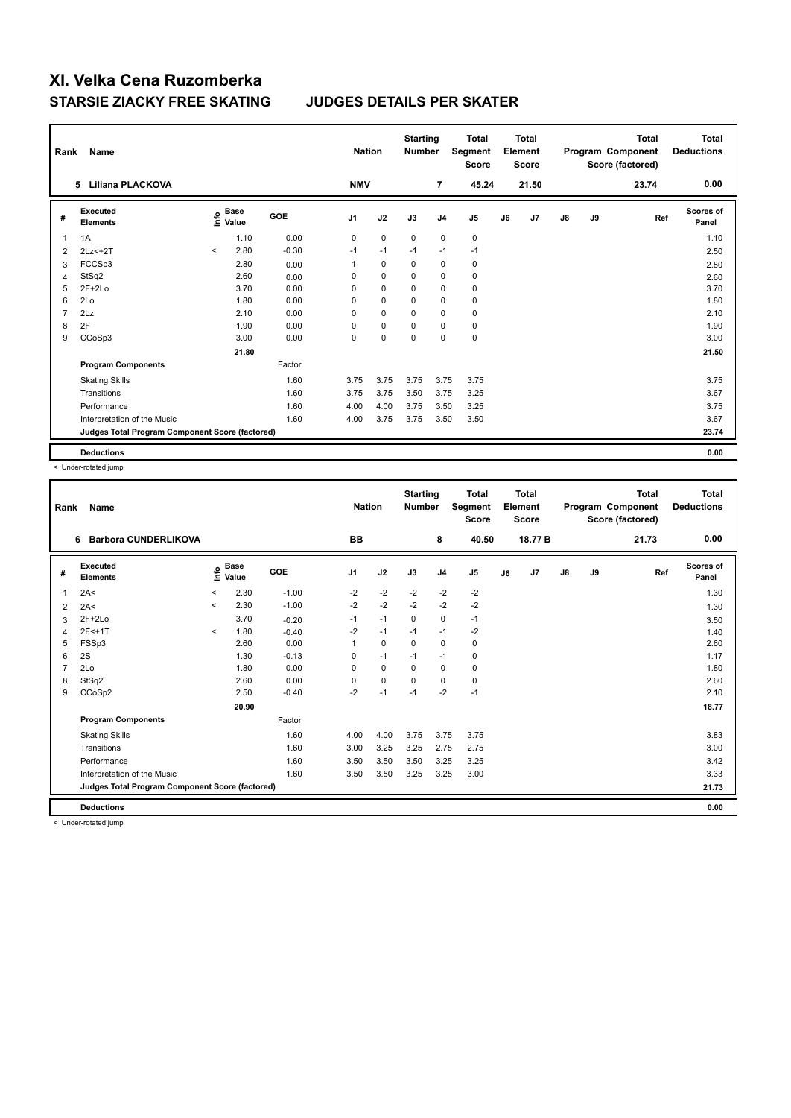| Rank           | Name                                            |         |                                           |            | <b>Nation</b>  |             | <b>Starting</b><br><b>Number</b> |                | <b>Total</b><br>Segment<br><b>Score</b> |    | <b>Total</b><br>Element<br><b>Score</b> |               |    | <b>Total</b><br>Program Component<br>Score (factored) | Total<br><b>Deductions</b> |
|----------------|-------------------------------------------------|---------|-------------------------------------------|------------|----------------|-------------|----------------------------------|----------------|-----------------------------------------|----|-----------------------------------------|---------------|----|-------------------------------------------------------|----------------------------|
|                | Liliana PLACKOVA<br>5                           |         |                                           |            | <b>NMV</b>     |             |                                  | $\overline{7}$ | 45.24                                   |    | 21.50                                   |               |    | 23.74                                                 | 0.00                       |
| #              | Executed<br><b>Elements</b>                     |         | $\frac{e}{E}$ Base<br>$\frac{E}{E}$ Value | <b>GOE</b> | J <sub>1</sub> | J2          | J3                               | J <sub>4</sub> | J <sub>5</sub>                          | J6 | J7                                      | $\mathsf{J}8$ | J9 | Ref                                                   | <b>Scores of</b><br>Panel  |
| $\overline{1}$ | 1A                                              |         | 1.10                                      | 0.00       | 0              | $\mathbf 0$ | $\mathbf 0$                      | $\mathbf 0$    | $\mathbf 0$                             |    |                                         |               |    |                                                       | 1.10                       |
| 2              | $2Lz<+2T$                                       | $\prec$ | 2.80                                      | $-0.30$    | $-1$           | $-1$        | $-1$                             | $-1$           | $-1$                                    |    |                                         |               |    |                                                       | 2.50                       |
| 3              | FCCSp3                                          |         | 2.80                                      | 0.00       | 1              | 0           | 0                                | $\mathbf 0$    | 0                                       |    |                                         |               |    |                                                       | 2.80                       |
| $\overline{4}$ | StSq2                                           |         | 2.60                                      | 0.00       | 0              | $\pmb{0}$   | 0                                | $\mathbf 0$    | 0                                       |    |                                         |               |    |                                                       | 2.60                       |
| 5              | $2F+2Lo$                                        |         | 3.70                                      | 0.00       | 0              | $\mathbf 0$ | 0                                | $\mathbf 0$    | 0                                       |    |                                         |               |    |                                                       | 3.70                       |
| 6              | 2Lo                                             |         | 1.80                                      | 0.00       | 0              | $\mathbf 0$ | 0                                | $\mathbf 0$    | 0                                       |    |                                         |               |    |                                                       | 1.80                       |
| $\overline{7}$ | 2Lz                                             |         | 2.10                                      | 0.00       | 0              | $\mathbf 0$ | $\Omega$                         | $\mathbf 0$    | 0                                       |    |                                         |               |    |                                                       | 2.10                       |
| 8              | 2F                                              |         | 1.90                                      | 0.00       | $\Omega$       | $\pmb{0}$   | $\Omega$                         | $\mathbf 0$    | 0                                       |    |                                         |               |    |                                                       | 1.90                       |
| 9              | CCoSp3                                          |         | 3.00                                      | 0.00       | $\mathbf 0$    | $\pmb{0}$   | $\pmb{0}$                        | $\mathbf 0$    | $\pmb{0}$                               |    |                                         |               |    |                                                       | 3.00                       |
|                |                                                 |         | 21.80                                     |            |                |             |                                  |                |                                         |    |                                         |               |    |                                                       | 21.50                      |
|                | <b>Program Components</b>                       |         |                                           | Factor     |                |             |                                  |                |                                         |    |                                         |               |    |                                                       |                            |
|                | <b>Skating Skills</b>                           |         |                                           | 1.60       | 3.75           | 3.75        | 3.75                             | 3.75           | 3.75                                    |    |                                         |               |    |                                                       | 3.75                       |
|                | Transitions                                     |         |                                           | 1.60       | 3.75           | 3.75        | 3.50                             | 3.75           | 3.25                                    |    |                                         |               |    |                                                       | 3.67                       |
|                | Performance                                     |         |                                           | 1.60       | 4.00           | 4.00        | 3.75                             | 3.50           | 3.25                                    |    |                                         |               |    |                                                       | 3.75                       |
|                | Interpretation of the Music                     |         |                                           | 1.60       | 4.00           | 3.75        | 3.75                             | 3.50           | 3.50                                    |    |                                         |               |    |                                                       | 3.67                       |
|                | Judges Total Program Component Score (factored) |         |                                           |            |                |             |                                  |                |                                         |    |                                         |               |    |                                                       | 23.74                      |
|                | <b>Deductions</b>                               |         |                                           |            |                |             |                                  |                |                                         |    |                                         |               |    |                                                       | 0.00                       |

< Under-rotated jump

| Rank | <b>Name</b>                                     |              |                                    |         | <b>Nation</b>  |             | <b>Starting</b><br><b>Number</b> |                | <b>Total</b><br>Segment<br><b>Score</b> |    | <b>Total</b><br>Element<br><b>Score</b> |               |    | <b>Total</b><br>Program Component<br>Score (factored) | <b>Total</b><br><b>Deductions</b> |
|------|-------------------------------------------------|--------------|------------------------------------|---------|----------------|-------------|----------------------------------|----------------|-----------------------------------------|----|-----------------------------------------|---------------|----|-------------------------------------------------------|-----------------------------------|
|      | <b>Barbora CUNDERLIKOVA</b><br>6                |              |                                    |         | BB             |             |                                  | 8              | 40.50                                   |    | 18.77 B                                 |               |    | 21.73                                                 | 0.00                              |
| #    | Executed<br><b>Elements</b>                     |              | <b>Base</b><br>$\frac{6}{5}$ Value | GOE     | J <sub>1</sub> | J2          | J3                               | J <sub>4</sub> | J <sub>5</sub>                          | J6 | J7                                      | $\mathsf{J}8$ | J9 | Ref                                                   | Scores of<br>Panel                |
| 1    | 2A<                                             | $\prec$      | 2.30                               | $-1.00$ | $-2$           | $-2$        | $-2$                             | $-2$           | $-2$                                    |    |                                         |               |    |                                                       | 1.30                              |
| 2    | 2A<                                             | $\,<\,$      | 2.30                               | $-1.00$ | $-2$           | $-2$        | $-2$                             | $-2$           | $-2$                                    |    |                                         |               |    |                                                       | 1.30                              |
| 3    | $2F+2Lo$                                        |              | 3.70                               | $-0.20$ | $-1$           | $-1$        | 0                                | 0              | $-1$                                    |    |                                         |               |    |                                                       | 3.50                              |
| 4    | $2F<+1T$                                        | $\checkmark$ | 1.80                               | $-0.40$ | -2             | $-1$        | $-1$                             | $-1$           | -2                                      |    |                                         |               |    |                                                       | 1.40                              |
| 5    | FSSp3                                           |              | 2.60                               | 0.00    | 1              | $\mathbf 0$ | $\mathbf 0$                      | $\mathbf 0$    | $\pmb{0}$                               |    |                                         |               |    |                                                       | 2.60                              |
| 6    | 2S                                              |              | 1.30                               | $-0.13$ | 0              | $-1$        | $-1$                             | $-1$           | $\pmb{0}$                               |    |                                         |               |    |                                                       | 1.17                              |
| 7    | 2Lo                                             |              | 1.80                               | 0.00    | 0              | 0           | 0                                | 0              | 0                                       |    |                                         |               |    |                                                       | 1.80                              |
| 8    | StSq2                                           |              | 2.60                               | 0.00    | 0              | $\mathbf 0$ | 0                                | 0              | 0                                       |    |                                         |               |    |                                                       | 2.60                              |
| 9    | CCoSp2                                          |              | 2.50                               | $-0.40$ | $-2$           | $-1$        | $-1$                             | $-2$           | $-1$                                    |    |                                         |               |    |                                                       | 2.10                              |
|      |                                                 |              | 20.90                              |         |                |             |                                  |                |                                         |    |                                         |               |    |                                                       | 18.77                             |
|      | <b>Program Components</b>                       |              |                                    | Factor  |                |             |                                  |                |                                         |    |                                         |               |    |                                                       |                                   |
|      | <b>Skating Skills</b>                           |              |                                    | 1.60    | 4.00           | 4.00        | 3.75                             | 3.75           | 3.75                                    |    |                                         |               |    |                                                       | 3.83                              |
|      | Transitions                                     |              |                                    | 1.60    | 3.00           | 3.25        | 3.25                             | 2.75           | 2.75                                    |    |                                         |               |    |                                                       | 3.00                              |
|      | Performance                                     |              |                                    | 1.60    | 3.50           | 3.50        | 3.50                             | 3.25           | 3.25                                    |    |                                         |               |    |                                                       | 3.42                              |
|      | Interpretation of the Music                     |              |                                    | 1.60    | 3.50           | 3.50        | 3.25                             | 3.25           | 3.00                                    |    |                                         |               |    |                                                       | 3.33                              |
|      | Judges Total Program Component Score (factored) |              |                                    |         |                |             |                                  |                |                                         |    |                                         |               |    |                                                       | 21.73                             |
|      | <b>Deductions</b>                               |              |                                    |         |                |             |                                  |                |                                         |    |                                         |               |    |                                                       | 0.00                              |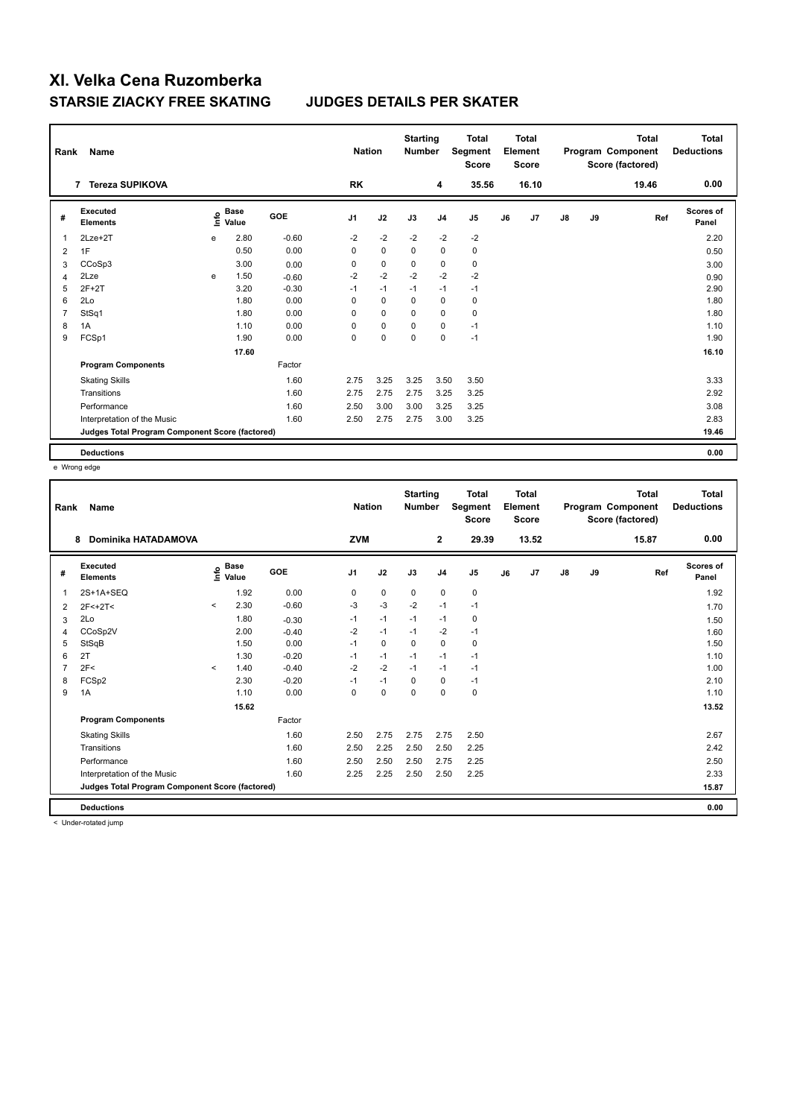| Rank           | Name                                            |      |                      |            | <b>Nation</b>  |             | <b>Starting</b><br><b>Number</b> |                | <b>Total</b><br>Segment<br><b>Score</b> |    | <b>Total</b><br>Element<br><b>Score</b> |               |    | <b>Total</b><br>Program Component<br>Score (factored) | Total<br><b>Deductions</b> |
|----------------|-------------------------------------------------|------|----------------------|------------|----------------|-------------|----------------------------------|----------------|-----------------------------------------|----|-----------------------------------------|---------------|----|-------------------------------------------------------|----------------------------|
|                | 7 Tereza SUPIKOVA                               |      |                      |            | <b>RK</b>      |             |                                  | 4              | 35.56                                   |    | 16.10                                   |               |    | 19.46                                                 | 0.00                       |
| #              | Executed<br><b>Elements</b>                     | ١nfo | <b>Base</b><br>Value | <b>GOE</b> | J <sub>1</sub> | J2          | J3                               | J <sub>4</sub> | J <sub>5</sub>                          | J6 | J7                                      | $\mathsf{J}8$ | J9 | Ref                                                   | <b>Scores of</b><br>Panel  |
| 1              | $2$ Lze $+2$ T                                  | e    | 2.80                 | $-0.60$    | $-2$           | $-2$        | $-2$                             | $-2$           | $-2$                                    |    |                                         |               |    |                                                       | 2.20                       |
| 2              | 1F                                              |      | 0.50                 | 0.00       | 0              | $\mathbf 0$ | $\mathbf 0$                      | $\mathbf 0$    | $\pmb{0}$                               |    |                                         |               |    |                                                       | 0.50                       |
| 3              | CCoSp3                                          |      | 3.00                 | 0.00       | 0              | 0           | 0                                | 0              | 0                                       |    |                                         |               |    |                                                       | 3.00                       |
| 4              | 2Lze                                            | e    | 1.50                 | $-0.60$    | $-2$           | $-2$        | $-2$                             | $-2$           | $-2$                                    |    |                                         |               |    |                                                       | 0.90                       |
| 5              | $2F+2T$                                         |      | 3.20                 | $-0.30$    | $-1$           | $-1$        | $-1$                             | $-1$           | $-1$                                    |    |                                         |               |    |                                                       | 2.90                       |
| 6              | 2Lo                                             |      | 1.80                 | 0.00       | 0              | $\mathbf 0$ | 0                                | $\mathbf 0$    | 0                                       |    |                                         |               |    |                                                       | 1.80                       |
| $\overline{7}$ | StSq1                                           |      | 1.80                 | 0.00       | 0              | $\mathbf 0$ | $\Omega$                         | $\mathbf 0$    | 0                                       |    |                                         |               |    |                                                       | 1.80                       |
| 8              | 1A                                              |      | 1.10                 | 0.00       | $\Omega$       | 0           | $\Omega$                         | $\mathbf 0$    | $-1$                                    |    |                                         |               |    |                                                       | 1.10                       |
| 9              | FCSp1                                           |      | 1.90                 | 0.00       | 0              | $\pmb{0}$   | 0                                | $\mathbf 0$    | $-1$                                    |    |                                         |               |    |                                                       | 1.90                       |
|                |                                                 |      | 17.60                |            |                |             |                                  |                |                                         |    |                                         |               |    |                                                       | 16.10                      |
|                | <b>Program Components</b>                       |      |                      | Factor     |                |             |                                  |                |                                         |    |                                         |               |    |                                                       |                            |
|                | <b>Skating Skills</b>                           |      |                      | 1.60       | 2.75           | 3.25        | 3.25                             | 3.50           | 3.50                                    |    |                                         |               |    |                                                       | 3.33                       |
|                | Transitions                                     |      |                      | 1.60       | 2.75           | 2.75        | 2.75                             | 3.25           | 3.25                                    |    |                                         |               |    |                                                       | 2.92                       |
|                | Performance                                     |      |                      | 1.60       | 2.50           | 3.00        | 3.00                             | 3.25           | 3.25                                    |    |                                         |               |    |                                                       | 3.08                       |
|                | Interpretation of the Music                     |      |                      | 1.60       | 2.50           | 2.75        | 2.75                             | 3.00           | 3.25                                    |    |                                         |               |    |                                                       | 2.83                       |
|                | Judges Total Program Component Score (factored) |      |                      |            |                |             |                                  |                |                                         |    |                                         |               |    |                                                       | 19.46                      |
|                | <b>Deductions</b>                               |      |                      |            |                |             |                                  |                |                                         |    |                                         |               |    |                                                       | 0.00                       |

e Wrong edge

| Rank           | <b>Name</b>                                     |         |                                  |         | <b>Nation</b>  |             | <b>Starting</b><br><b>Number</b> |                | <b>Total</b><br>Segment<br><b>Score</b> |    | Total<br>Element<br><b>Score</b> |               |    | <b>Total</b><br>Program Component<br>Score (factored) | Total<br><b>Deductions</b> |
|----------------|-------------------------------------------------|---------|----------------------------------|---------|----------------|-------------|----------------------------------|----------------|-----------------------------------------|----|----------------------------------|---------------|----|-------------------------------------------------------|----------------------------|
|                | <b>Dominika HATADAMOVA</b><br>8                 |         |                                  |         | <b>ZVM</b>     |             |                                  | $\overline{2}$ | 29.39                                   |    | 13.52                            |               |    | 15.87                                                 | 0.00                       |
| #              | Executed<br><b>Elements</b>                     |         | <b>Base</b><br>e Base<br>⊆ Value | GOE     | J <sub>1</sub> | J2          | J3                               | J <sub>4</sub> | J <sub>5</sub>                          | J6 | J7                               | $\mathsf{J}8$ | J9 | Ref                                                   | <b>Scores of</b><br>Panel  |
| 1              | 2S+1A+SEQ                                       |         | 1.92                             | 0.00    | 0              | $\mathbf 0$ | $\mathbf 0$                      | $\mathbf 0$    | $\mathbf 0$                             |    |                                  |               |    |                                                       | 1.92                       |
| 2              | $2F<+2T<$                                       | $\prec$ | 2.30                             | $-0.60$ | -3             | $-3$        | $-2$                             | $-1$           | $-1$                                    |    |                                  |               |    |                                                       | 1.70                       |
| 3              | 2Lo                                             |         | 1.80                             | $-0.30$ | $-1$           | $-1$        | $-1$                             | $-1$           | 0                                       |    |                                  |               |    |                                                       | 1.50                       |
| 4              | CCoSp2V                                         |         | 2.00                             | $-0.40$ | $-2$           | $-1$        | $-1$                             | $-2$           | $-1$                                    |    |                                  |               |    |                                                       | 1.60                       |
| 5              | StSqB                                           |         | 1.50                             | 0.00    | $-1$           | $\mathbf 0$ | $\mathbf 0$                      | $\mathbf 0$    | $\mathbf 0$                             |    |                                  |               |    |                                                       | 1.50                       |
| 6              | 2T                                              |         | 1.30                             | $-0.20$ | $-1$           | $-1$        | $-1$                             | $-1$           | $-1$                                    |    |                                  |               |    |                                                       | 1.10                       |
| $\overline{7}$ | 2F<                                             | $\prec$ | 1.40                             | $-0.40$ | $-2$           | $-2$        | $-1$                             | $-1$           | $-1$                                    |    |                                  |               |    |                                                       | 1.00                       |
| 8              | FCSp2                                           |         | 2.30                             | $-0.20$ | $-1$           | $-1$        | $\Omega$                         | $\mathbf 0$    | $-1$                                    |    |                                  |               |    |                                                       | 2.10                       |
| 9              | 1A                                              |         | 1.10                             | 0.00    | $\Omega$       | $\mathbf 0$ | $\Omega$                         | $\Omega$       | $\mathbf 0$                             |    |                                  |               |    |                                                       | 1.10                       |
|                |                                                 |         | 15.62                            |         |                |             |                                  |                |                                         |    |                                  |               |    |                                                       | 13.52                      |
|                | <b>Program Components</b>                       |         |                                  | Factor  |                |             |                                  |                |                                         |    |                                  |               |    |                                                       |                            |
|                | <b>Skating Skills</b>                           |         |                                  | 1.60    | 2.50           | 2.75        | 2.75                             | 2.75           | 2.50                                    |    |                                  |               |    |                                                       | 2.67                       |
|                | Transitions                                     |         |                                  | 1.60    | 2.50           | 2.25        | 2.50                             | 2.50           | 2.25                                    |    |                                  |               |    |                                                       | 2.42                       |
|                | Performance                                     |         |                                  | 1.60    | 2.50           | 2.50        | 2.50                             | 2.75           | 2.25                                    |    |                                  |               |    |                                                       | 2.50                       |
|                | Interpretation of the Music                     |         |                                  | 1.60    | 2.25           | 2.25        | 2.50                             | 2.50           | 2.25                                    |    |                                  |               |    |                                                       | 2.33                       |
|                | Judges Total Program Component Score (factored) |         |                                  |         |                |             |                                  |                |                                         |    |                                  |               |    |                                                       | 15.87                      |
|                | <b>Deductions</b>                               |         |                                  |         |                |             |                                  |                |                                         |    |                                  |               |    |                                                       | 0.00                       |